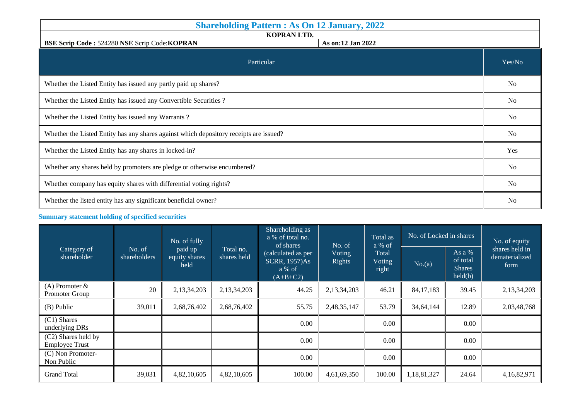| <b>Shareholding Pattern: As On 12 January, 2022</b>                                    |                |  |  |  |  |  |
|----------------------------------------------------------------------------------------|----------------|--|--|--|--|--|
| KOPRAN LTD.<br>BSE Scrip Code: 524280 NSE Scrip Code: KOPRAN<br>As on:12 Jan 2022      |                |  |  |  |  |  |
| Particular                                                                             | Yes/No         |  |  |  |  |  |
| Whether the Listed Entity has issued any partly paid up shares?                        |                |  |  |  |  |  |
| Whether the Listed Entity has issued any Convertible Securities ?                      |                |  |  |  |  |  |
| Whether the Listed Entity has issued any Warrants?                                     |                |  |  |  |  |  |
| Whether the Listed Entity has any shares against which depository receipts are issued? |                |  |  |  |  |  |
| Whether the Listed Entity has any shares in locked-in?                                 |                |  |  |  |  |  |
| Whether any shares held by promoters are pledge or otherwise encumbered?               |                |  |  |  |  |  |
| Whether company has equity shares with differential voting rights?                     |                |  |  |  |  |  |
| Whether the listed entity has any significant beneficial owner?                        | N <sub>o</sub> |  |  |  |  |  |

## **Summary statement holding of specified securities**

| Category of<br>shareholder                   |                        | No. of fully<br>paid up<br>equity shares<br>held | Total no.<br>shares held | Shareholding as<br>a % of total no.<br>of shares                   | No. of                  | Total as<br>a % of       | No. of Locked in shares | No. of equity                                  |                                          |
|----------------------------------------------|------------------------|--------------------------------------------------|--------------------------|--------------------------------------------------------------------|-------------------------|--------------------------|-------------------------|------------------------------------------------|------------------------------------------|
|                                              | No. of<br>shareholders |                                                  |                          | (calculated as per<br><b>SCRR, 1957)As</b><br>a % of<br>$(A+B+C2)$ | Voting<br><b>Rights</b> | Total<br>Voting<br>right | No.(a)                  | As a %<br>of total<br><b>Shares</b><br>held(b) | shares held in<br>dematerialized<br>form |
| (A) Promoter $\&$<br>Promoter Group          | 20                     | 2,13,34,203                                      | 2,13,34,203              | 44.25                                                              | 2,13,34,203             | 46.21                    | 84, 17, 183             | 39.45                                          | 2,13,34,203                              |
| (B) Public                                   | 39,011                 | 2,68,76,402                                      | 2,68,76,402              | 55.75                                                              | 2,48,35,147             | 53.79                    | 34,64,144               | 12.89                                          | 2,03,48,768                              |
| $(C1)$ Shares<br>underlying DRs              |                        |                                                  |                          | 0.00                                                               |                         | 0.00                     |                         | 0.00                                           |                                          |
| (C2) Shares held by<br><b>Employee Trust</b> |                        |                                                  |                          | 0.00                                                               |                         | 0.00                     |                         | 0.00                                           |                                          |
| (C) Non Promoter-<br>Non Public              |                        |                                                  |                          | 0.00                                                               |                         | 0.00                     |                         | 0.00                                           |                                          |
| <b>Grand Total</b>                           | 39,031                 | 4,82,10,605                                      | 4,82,10,605              | 100.00                                                             | 4,61,69,350             | 100.00                   | 1,18,81,327             | 24.64                                          | 4,16,82,971                              |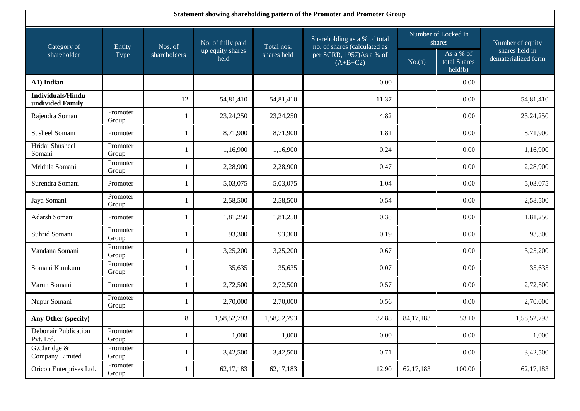| Statement showing shareholding pattern of the Promoter and Promoter Group |                   |                |                          |             |                                                              |                               |                                      |                                       |  |  |
|---------------------------------------------------------------------------|-------------------|----------------|--------------------------|-------------|--------------------------------------------------------------|-------------------------------|--------------------------------------|---------------------------------------|--|--|
| Category of                                                               | Entity            | Nos. of        | No. of fully paid        | Total nos.  | Shareholding as a % of total<br>no. of shares (calculated as | Number of Locked in<br>shares |                                      | Number of equity                      |  |  |
| shareholder                                                               | Type              | shareholders   | up equity shares<br>held | shares held | per SCRR, 1957)As a % of<br>$(A+B+C2)$                       | No.(a)                        | As a % of<br>total Shares<br>held(b) | shares held in<br>dematerialized form |  |  |
| A1) Indian                                                                |                   |                |                          |             | 0.00                                                         |                               | 0.00                                 |                                       |  |  |
| <b>Individuals/Hindu</b><br>undivided Family                              |                   | 12             | 54,81,410                | 54,81,410   | 11.37                                                        |                               | 0.00                                 | 54,81,410                             |  |  |
| Rajendra Somani                                                           | Promoter<br>Group | -1             | 23, 24, 250              | 23,24,250   | 4.82                                                         |                               | 0.00                                 | 23,24,250                             |  |  |
| Susheel Somani                                                            | Promoter          | -1             | 8,71,900                 | 8,71,900    | 1.81                                                         |                               | 0.00                                 | 8,71,900                              |  |  |
| Hridai Shusheel<br>Somani                                                 | Promoter<br>Group | $\mathbf{1}$   | 1,16,900                 | 1,16,900    | 0.24                                                         |                               | 0.00                                 | 1,16,900                              |  |  |
| Mridula Somani                                                            | Promoter<br>Group |                | 2,28,900                 | 2,28,900    | 0.47                                                         |                               | 0.00                                 | 2,28,900                              |  |  |
| Surendra Somani                                                           | Promoter          | $\mathbf{1}$   | 5,03,075                 | 5,03,075    | 1.04                                                         |                               | 0.00                                 | 5,03,075                              |  |  |
| Jaya Somani                                                               | Promoter<br>Group | $\overline{1}$ | 2,58,500                 | 2,58,500    | 0.54                                                         |                               | 0.00                                 | 2,58,500                              |  |  |
| Adarsh Somani                                                             | Promoter          | $\mathbf{1}$   | 1,81,250                 | 1,81,250    | 0.38                                                         |                               | 0.00                                 | 1,81,250                              |  |  |
| Suhrid Somani                                                             | Promoter<br>Group | $\overline{1}$ | 93,300                   | 93,300      | 0.19                                                         |                               | 0.00                                 | 93,300                                |  |  |
| Vandana Somani                                                            | Promoter<br>Group |                | 3,25,200                 | 3,25,200    | 0.67                                                         |                               | 0.00                                 | 3,25,200                              |  |  |
| Somani Kumkum                                                             | Promoter<br>Group | -1             | 35,635                   | 35,635      | 0.07                                                         |                               | 0.00                                 | 35,635                                |  |  |
| Varun Somani                                                              | Promoter          |                | 2,72,500                 | 2,72,500    | 0.57                                                         |                               | 0.00                                 | 2,72,500                              |  |  |
| Nupur Somani                                                              | Promoter<br>Group | -1             | 2,70,000                 | 2,70,000    | 0.56                                                         |                               | 0.00                                 | 2,70,000                              |  |  |
| Any Other (specify)                                                       |                   | $8\,$          | 1,58,52,793              | 1,58,52,793 | 32.88                                                        | 84, 17, 183                   | 53.10                                | 1,58,52,793                           |  |  |
| Debonair Publication<br>Pvt. Ltd.                                         | Promoter<br>Group | 1              | 1,000                    | 1,000       | 0.00                                                         |                               | 0.00                                 | 1,000                                 |  |  |
| G.Claridge &<br>Company Limited                                           | Promoter<br>Group | 1              | 3,42,500                 | 3,42,500    | 0.71                                                         |                               | $0.00\,$                             | 3,42,500                              |  |  |
| Oricon Enterprises Ltd.                                                   | Promoter<br>Group | 1              | 62, 17, 183              | 62, 17, 183 | 12.90                                                        | 62, 17, 183                   | 100.00                               | 62, 17, 183                           |  |  |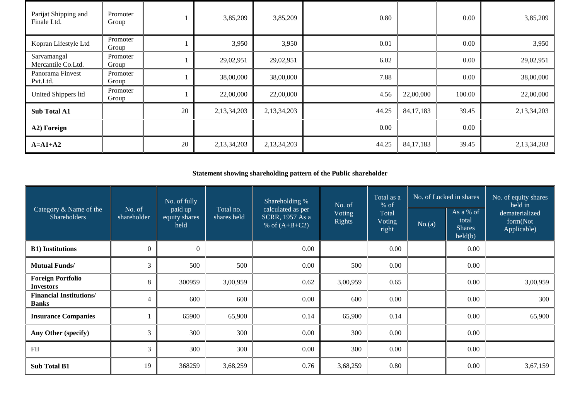| Parijat Shipping and<br>Finale Ltd. | Promoter<br>Group |    | 3,85,209    | 3,85,209    | 0.80  |             | 0.00   | 3,85,209    |
|-------------------------------------|-------------------|----|-------------|-------------|-------|-------------|--------|-------------|
| Kopran Lifestyle Ltd                | Promoter<br>Group |    | 3,950       | 3,950       | 0.01  |             | 0.00   | 3,950       |
| Sarvamangal<br>Mercantile Co.Ltd.   | Promoter<br>Group |    | 29,02,951   | 29,02,951   | 6.02  |             | 0.00   | 29,02,951   |
| Panorama Finvest<br>Pvt.Ltd.        | Promoter<br>Group |    | 38,00,000   | 38,00,000   | 7.88  |             | 0.00   | 38,00,000   |
| United Shippers ltd                 | Promoter<br>Group |    | 22,00,000   | 22,00,000   | 4.56  | 22,00,000   | 100.00 | 22,00,000   |
| <b>Sub Total A1</b>                 |                   | 20 | 2,13,34,203 | 2,13,34,203 | 44.25 | 84, 17, 183 | 39.45  | 2,13,34,203 |
| A2) Foreign                         |                   |    |             |             | 0.00  |             | 0.00   |             |
| $A=A1+A2$                           |                   | 20 | 2,13,34,203 | 2,13,34,203 | 44.25 | 84, 17, 183 | 39.45  | 2,13,34,203 |

## **Statement showing shareholding pattern of the Public shareholder**

| Category & Name of the<br>Shareholders         | No. of<br>shareholder | No. of fully<br>paid up<br>equity shares<br>held | Total no.<br>shares held | Shareholding %<br>calculated as per<br>SCRR, 1957 As a<br>% of $(A+B+C2)$ | No. of<br><b>Voting</b><br><b>Rights</b> | Total as a<br>$%$ of<br>Total<br><b>Voting</b><br>right | No. of Locked in shares |                                                | No. of equity shares<br>held in           |
|------------------------------------------------|-----------------------|--------------------------------------------------|--------------------------|---------------------------------------------------------------------------|------------------------------------------|---------------------------------------------------------|-------------------------|------------------------------------------------|-------------------------------------------|
|                                                |                       |                                                  |                          |                                                                           |                                          |                                                         | No.(a)                  | As a % of<br>total<br><b>Shares</b><br>held(b) | dematerialized<br>form(Not<br>Applicable) |
| <b>B1)</b> Institutions                        | $\theta$              | $\mathbf{0}$                                     |                          | 0.00                                                                      |                                          | 0.00                                                    |                         | 0.00                                           |                                           |
| <b>Mutual Funds/</b>                           | 3                     | 500                                              | 500                      | 0.00                                                                      | 500                                      | 0.00                                                    |                         | 0.00                                           |                                           |
| <b>Foreign Portfolio</b><br><b>Investors</b>   | 8                     | 300959                                           | 3,00,959                 | 0.62                                                                      | 3,00,959                                 | 0.65                                                    |                         | 0.00                                           | 3,00,959                                  |
| <b>Financial Institutions/</b><br><b>Banks</b> | 4                     | 600                                              | 600                      | 0.00                                                                      | 600                                      | $0.00\,$                                                |                         | 0.00                                           | 300                                       |
| <b>Insurance Companies</b>                     |                       | 65900                                            | 65,900                   | 0.14                                                                      | 65,900                                   | 0.14                                                    |                         | 0.00                                           | 65,900                                    |
| Any Other (specify)                            | 3                     | 300                                              | 300                      | 0.00                                                                      | 300                                      | 0.00                                                    |                         | 0.00                                           |                                           |
| $\mathbf{FII}$                                 | 3                     | 300                                              | 300                      | 0.00                                                                      | 300                                      | 0.00                                                    |                         | 0.00                                           |                                           |
| <b>Sub Total B1</b>                            | 19                    | 368259                                           | 3,68,259                 | 0.76                                                                      | 3,68,259                                 | 0.80                                                    |                         | 0.00                                           | 3,67,159                                  |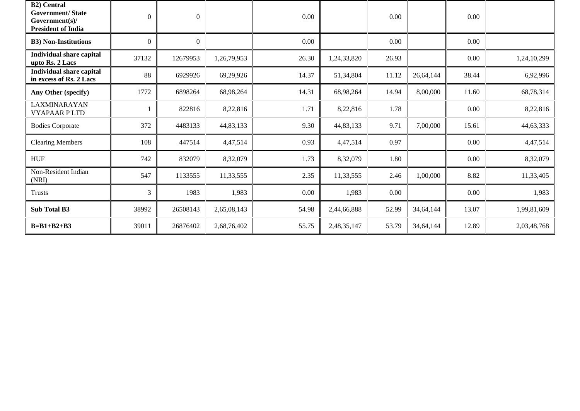| <b>B2)</b> Central<br><b>Government/State</b><br>Government(s)/<br><b>President of India</b> | $\Omega$ | $\boldsymbol{0}$ |             | 0.00  |             | 0.00     |           | 0.00     |             |
|----------------------------------------------------------------------------------------------|----------|------------------|-------------|-------|-------------|----------|-----------|----------|-------------|
| <b>B3)</b> Non-Institutions                                                                  | $\Omega$ | $\Omega$         |             | 0.00  |             | $0.00\,$ |           | 0.00     |             |
| <b>Individual share capital</b><br>upto Rs. 2 Lacs                                           | 37132    | 12679953         | 1,26,79,953 | 26.30 | 1,24,33,820 | 26.93    |           | 0.00     | 1,24,10,299 |
| <b>Individual share capital</b><br>in excess of Rs. 2 Lacs                                   | 88       | 6929926          | 69,29,926   | 14.37 | 51,34,804   | 11.12    | 26,64,144 | 38.44    | 6,92,996    |
| Any Other (specify)                                                                          | 1772     | 6898264          | 68,98,264   | 14.31 | 68,98,264   | 14.94    | 8,00,000  | 11.60    | 68,78,314   |
| <b>LAXMINARAYAN</b><br><b>VYAPAAR PLTD</b>                                                   |          | 822816           | 8,22,816    | 1.71  | 8,22,816    | 1.78     |           | 0.00     | 8,22,816    |
| <b>Bodies Corporate</b>                                                                      | 372      | 4483133          | 44,83,133   | 9.30  | 44,83,133   | 9.71     | 7,00,000  | 15.61    | 44,63,333   |
| <b>Clearing Members</b>                                                                      | 108      | 447514           | 4,47,514    | 0.93  | 4,47,514    | 0.97     |           | $0.00\,$ | 4,47,514    |
| <b>HUF</b>                                                                                   | 742      | 832079           | 8,32,079    | 1.73  | 8,32,079    | 1.80     |           | 0.00     | 8,32,079    |
| Non-Resident Indian<br>(NRI)                                                                 | 547      | 1133555          | 11,33,555   | 2.35  | 11,33,555   | 2.46     | 1,00,000  | 8.82     | 11,33,405   |
| <b>Trusts</b>                                                                                | 3        | 1983             | 1,983       | 0.00  | 1,983       | 0.00     |           | $0.00\,$ | 1,983       |
| Sub Total B3                                                                                 | 38992    | 26508143         | 2,65,08,143 | 54.98 | 2,44,66,888 | 52.99    | 34,64,144 | 13.07    | 1,99,81,609 |
| $B=B1+B2+B3$                                                                                 | 39011    | 26876402         | 2,68,76,402 | 55.75 | 2,48,35,147 | 53.79    | 34,64,144 | 12.89    | 2,03,48,768 |